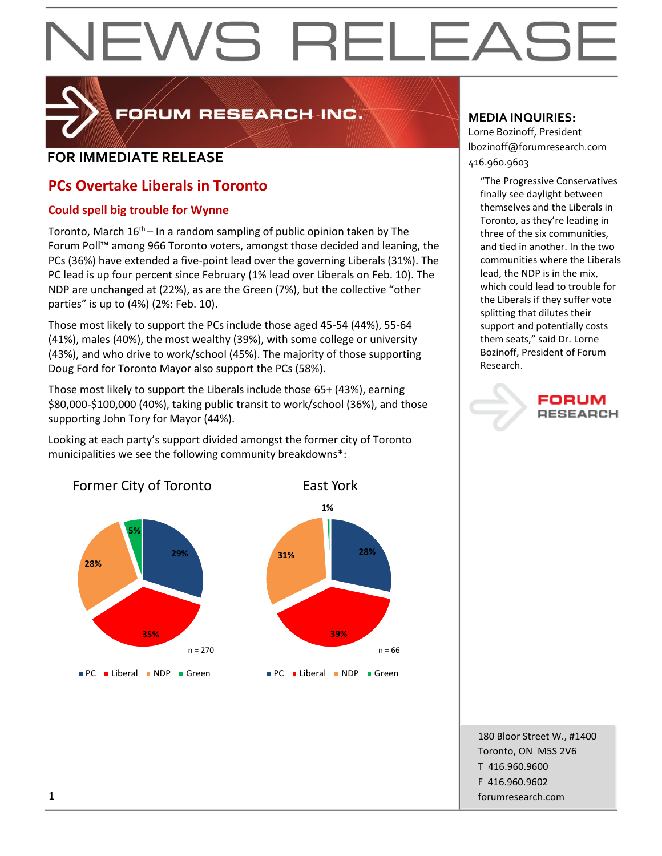# EWS RELEAS



FORUM RESEARCH INC.

# **FOR IMMEDIATE RELEASE**  $\begin{bmatrix} 1.52 \ 416.960.9603 \end{bmatrix}$

# **PCs Overtake Liberals in Toronto**

# **Could spell big trouble for Wynne**

Toronto, March  $16<sup>th</sup>$  – In a random sampling of public opinion taken by The Forum Poll™ among 966 Toronto voters, amongst those decided and leaning, the PCs (36%) have extended a five-point lead over the governing Liberals (31%). The PC lead is up four percent since February (1% lead over Liberals on Feb. 10). The NDP are unchanged at (22%), as are the Green (7%), but the collective "other parties" is up to (4%) (2%: Feb. 10).

Those most likely to support the PCs include those aged 45-54 (44%), 55-64 (41%), males (40%), the most wealthy (39%), with some college or university (43%), and who drive to work/school (45%). The majority of those supporting Doug Ford for Toronto Mayor also support the PCs (58%).

Those most likely to support the Liberals include those 65+ (43%), earning \$80,000-\$100,000 (40%), taking public transit to work/school (36%), and those supporting John Tory for Mayor (44%).

Looking at each party's support divided amongst the former city of Toronto municipalities we see the following community breakdowns\*:

# **29% 35% 28% 5%** Former City of Toronto **PC** Liberal NDP Green n = 270



# **MEDIA INQUIRIES:**

Lorne Bozinoff, President lbozinoff@forumresearch.com

"The Progressive Conservatives finally see daylight between themselves and the Liberals in Toronto, as they're leading in three of the six communities, and tied in another. In the two communities where the Liberals lead, the NDP is in the mix, which could lead to trouble for the Liberals if they suffer vote splitting that dilutes their support and potentially costs them seats," said Dr. Lorne Bozinoff, President of Forum Research.

# FORUM **RESEARCH**

180 Bloor Street W., #1400 Toronto, ON M5S 2V6 T 416.960.9600 F 416.960.9602 1 forumresearch.com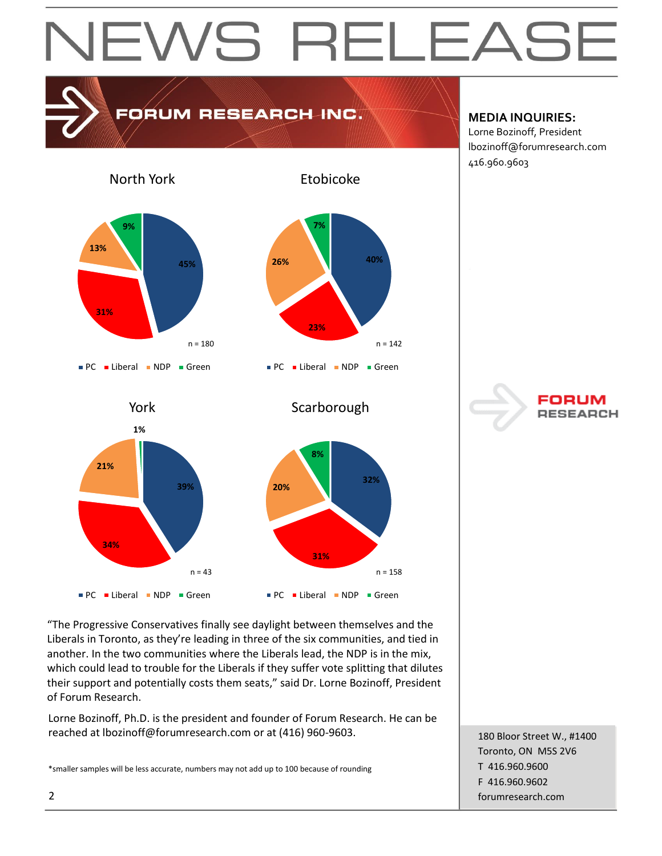# EWS RELEAS

# FORUM RESEARCH INC.

### **MEDIA INQUIRIES:**

Lorne Bozinoff, President lbozinoff@forumresearch.com 416.960.9603

North York





**Scarborough** 

**32%**

 $n = 158$ 

Etobicoke





"The Progressive Conservatives finally see daylight between themselves and the Liberals in Toronto, as they're leading in three of the six communities, and tied in another. In the two communities where the Liberals lead, the NDP is in the mix, which could lead to trouble for the Liberals if they suffer vote splitting that dilutes their support and potentially costs them seats," said Dr. Lorne Bozinoff, President of Forum Research.

Lorne Bozinoff, Ph.D. is the president and founder of Forum Research. He can be reached at lbozinoff@forumresearch.com or at (416) 960-9603.

\*smaller samples will be less accurate, numbers may not add up to 100 because of rounding

180 Bloor Street W., #1400 Toronto, ON M5S 2V6 T 416.960.9600 F 416.960.9602 2 forumresearch.com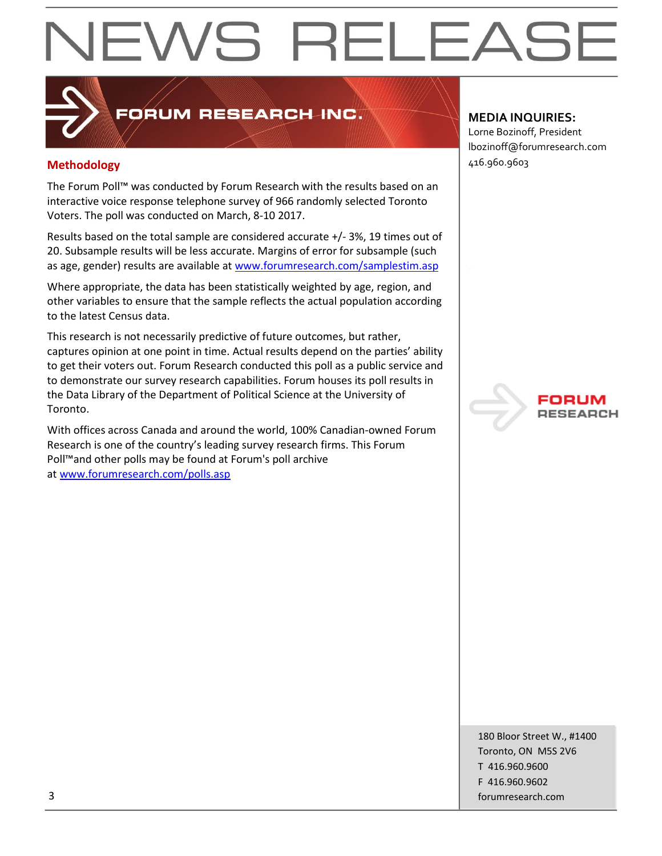# EWS RELEAS

# FORUM RESEARCH INC.

# **Methodology** 416.960.9603

The Forum Poll™ was conducted by Forum Research with the results based on an interactive voice response telephone survey of 966 randomly selected Toronto Voters. The poll was conducted on March, 8-10 2017.

Results based on the total sample are considered accurate +/- 3%, 19 times out of 20. Subsample results will be less accurate. Margins of error for subsample (such as age, gender) results are available at [www.forumresearch.com/samplestim.asp](http://www.forumresearch.com/samplestim.asp)

Where appropriate, the data has been statistically weighted by age, region, and other variables to ensure that the sample reflects the actual population according to the latest Census data.

This research is not necessarily predictive of future outcomes, but rather, captures opinion at one point in time. Actual results depend on the parties' ability to get their voters out. Forum Research conducted this poll as a public service and to demonstrate our survey research capabilities. Forum houses its poll results in the Data Library of the Department of Political Science at the University of Toronto.

With offices across Canada and around the world, 100% Canadian-owned Forum Research is one of the country's leading survey research firms. This Forum Poll™and other polls may be found at Forum's poll archive at [www.forumresearch.com/polls.asp](http://www.forumresearch.com/polls.asp)

## **MEDIA INQUIRIES:**

Lorne Bozinoff, President lbozinoff@forumresearch.com



180 Bloor Street W., #1400 Toronto, ON M5S 2V6 T 416.960.9600 F 416.960.9602 3 forumresearch.com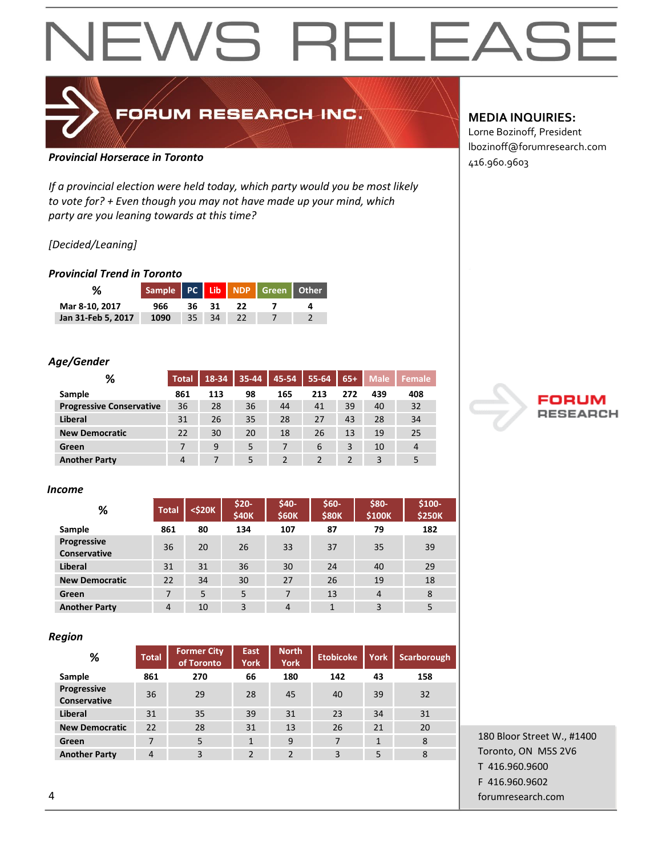# **NEWS RELEAS**

# FORUM RESEARCH INC.

# 416.960.9603 *Provincial Horserace in Toronto*

*If a provincial election were held today, which party would you be most likely to vote for? + Even though you may not have made up your mind, which party are you leaning towards at this time?*

### *[Decided/Leaning]*

### *Provincial Trend in Toronto*

|                    | Sample PC Lib NDP Green Other |       |       |      |  |
|--------------------|-------------------------------|-------|-------|------|--|
| Mar 8-10, 2017     | 966.                          |       | 36 31 | - 22 |  |
| Jan 31-Feb 5, 2017 | 1090                          | 35 34 |       |      |  |

### *Age/Gender*

| %                               | <b>Total</b> | 18-34 | 35-44 | 45-54 | 55-64 | $65+$ | <b>Male</b> | Female         |
|---------------------------------|--------------|-------|-------|-------|-------|-------|-------------|----------------|
| Sample                          | 861          | 113   | 98    | 165   | 213   | 272   | 439         | 408            |
| <b>Progressive Conservative</b> | 36           | 28    | 36    | 44    | 41    | 39    | 40          | 32             |
| Liberal                         | 31           | 26    | 35    | 28    | 27    | 43    | 28          | 34             |
| <b>New Democratic</b>           | 22           | 30    | 20    | 18    | 26    | 13    | 19          | 25             |
| Green                           |              | 9     | 5     |       | 6     | 3     | 10          | $\overline{4}$ |
| <b>Another Party</b>            | 4            |       |       |       |       |       | 3           | 5              |

#### *Income*

| %                                  | <b>Total</b>   | $<$ \$20 $K$ | \$20-<br>\$40K | \$40-<br><b>\$60K</b> | $$60-$<br><b>\$80K</b> | \$80-<br>\$100K | $$100-$<br><b>\$250K</b> |
|------------------------------------|----------------|--------------|----------------|-----------------------|------------------------|-----------------|--------------------------|
| Sample                             | 861            | 80           | 134            | 107                   | 87                     | 79              | 182                      |
| Progressive<br><b>Conservative</b> | 36             | 20           | 26             | 33                    | 37                     | 35              | 39                       |
| Liberal                            | 31             | 31           | 36             | 30                    | 24                     | 40              | 29                       |
| <b>New Democratic</b>              | 22             | 34           | 30             | 27                    | 26                     | 19              | 18                       |
| Green                              | 7              | 5            | 5              | 7                     | 13                     | $\overline{4}$  | 8                        |
| <b>Another Party</b>               | $\overline{4}$ | 10           | 3              | 4                     | $\mathbf{1}$           | 3               | 5                        |

#### *Region*

| %                                  | <b>Total</b> | <b>Former City</b><br>of Toronto | <b>East</b><br>York | <b>North</b><br><b>York</b> | <b>Etobicoke</b> | York         | <b>Scarborough</b> |
|------------------------------------|--------------|----------------------------------|---------------------|-----------------------------|------------------|--------------|--------------------|
| Sample                             | 861          | 270                              | 66                  | 180                         | 142              | 43           | 158                |
| Progressive<br><b>Conservative</b> | 36           | 29                               | 28                  | 45                          | 40               | 39           | 32                 |
| <b>Liberal</b>                     | 31           | 35                               | 39                  | 31                          | 23               | 34           | 31                 |
| <b>New Democratic</b>              | 22           | 28                               | 31                  | 13                          | 26               | 21           | 20                 |
| Green                              | 7            | 5                                | 1                   | 9                           | $\overline{7}$   | $\mathbf{1}$ | 8                  |
| <b>Another Party</b>               | 4            | 3                                | $\overline{2}$      | $\overline{2}$              | 3                | 5            | 8                  |

## **MEDIA INQUIRIES:**

Lorne Bozinoff, President lbozinoff@forumresearch.com



180 Bloor Street W., #1400 Toronto, ON M5S 2V6 T 416.960.9600 F 416.960.9602 4 forumresearch.com